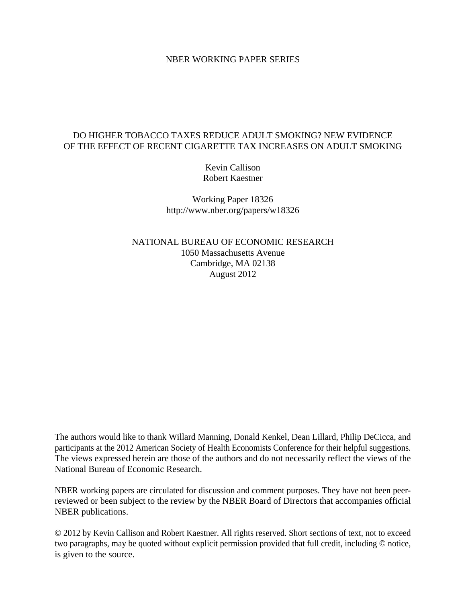## NBER WORKING PAPER SERIES

# DO HIGHER TOBACCO TAXES REDUCE ADULT SMOKING? NEW EVIDENCE OF THE EFFECT OF RECENT CIGARETTE TAX INCREASES ON ADULT SMOKING

Kevin Callison Robert Kaestner

Working Paper 18326 http://www.nber.org/papers/w18326

NATIONAL BUREAU OF ECONOMIC RESEARCH 1050 Massachusetts Avenue Cambridge, MA 02138 August 2012

The authors would like to thank Willard Manning, Donald Kenkel, Dean Lillard, Philip DeCicca, and participants at the 2012 American Society of Health Economists Conference for their helpful suggestions. The views expressed herein are those of the authors and do not necessarily reflect the views of the National Bureau of Economic Research.

NBER working papers are circulated for discussion and comment purposes. They have not been peerreviewed or been subject to the review by the NBER Board of Directors that accompanies official NBER publications.

© 2012 by Kevin Callison and Robert Kaestner. All rights reserved. Short sections of text, not to exceed two paragraphs, may be quoted without explicit permission provided that full credit, including © notice, is given to the source.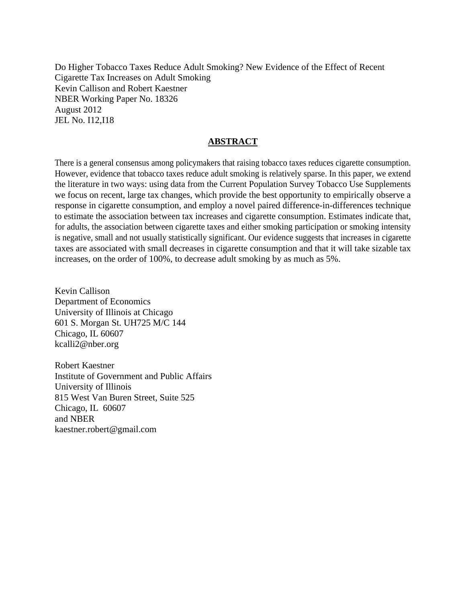Do Higher Tobacco Taxes Reduce Adult Smoking? New Evidence of the Effect of Recent Cigarette Tax Increases on Adult Smoking Kevin Callison and Robert Kaestner NBER Working Paper No. 18326 August 2012 JEL No. I12,I18

# **ABSTRACT**

There is a general consensus among policymakers that raising tobacco taxes reduces cigarette consumption. However, evidence that tobacco taxes reduce adult smoking is relatively sparse. In this paper, we extend the literature in two ways: using data from the Current Population Survey Tobacco Use Supplements we focus on recent, large tax changes, which provide the best opportunity to empirically observe a response in cigarette consumption, and employ a novel paired difference-in-differences technique to estimate the association between tax increases and cigarette consumption. Estimates indicate that, for adults, the association between cigarette taxes and either smoking participation or smoking intensity is negative, small and not usually statistically significant. Our evidence suggests that increases in cigarette taxes are associated with small decreases in cigarette consumption and that it will take sizable tax increases, on the order of 100%, to decrease adult smoking by as much as 5%.

Kevin Callison Department of Economics University of Illinois at Chicago 601 S. Morgan St. UH725 M/C 144 Chicago, IL 60607 kcalli2@nber.org

Robert Kaestner Institute of Government and Public Affairs University of Illinois 815 West Van Buren Street, Suite 525 Chicago, IL 60607 and NBER kaestner.robert@gmail.com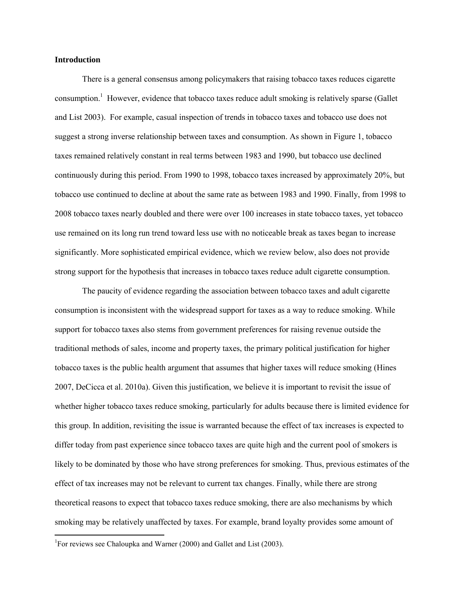#### **Introduction**

 There is a general consensus among policymakers that raising tobacco taxes reduces cigarette consumption.<sup>1</sup> However, evidence that tobacco taxes reduce adult smoking is relatively sparse (Gallet and List 2003). For example, casual inspection of trends in tobacco taxes and tobacco use does not suggest a strong inverse relationship between taxes and consumption. As shown in Figure 1, tobacco taxes remained relatively constant in real terms between 1983 and 1990, but tobacco use declined continuously during this period. From 1990 to 1998, tobacco taxes increased by approximately 20%, but tobacco use continued to decline at about the same rate as between 1983 and 1990. Finally, from 1998 to 2008 tobacco taxes nearly doubled and there were over 100 increases in state tobacco taxes, yet tobacco use remained on its long run trend toward less use with no noticeable break as taxes began to increase significantly. More sophisticated empirical evidence, which we review below, also does not provide strong support for the hypothesis that increases in tobacco taxes reduce adult cigarette consumption.

The paucity of evidence regarding the association between tobacco taxes and adult cigarette consumption is inconsistent with the widespread support for taxes as a way to reduce smoking. While support for tobacco taxes also stems from government preferences for raising revenue outside the traditional methods of sales, income and property taxes, the primary political justification for higher tobacco taxes is the public health argument that assumes that higher taxes will reduce smoking (Hines 2007, DeCicca et al. 2010a). Given this justification, we believe it is important to revisit the issue of whether higher tobacco taxes reduce smoking, particularly for adults because there is limited evidence for this group. In addition, revisiting the issue is warranted because the effect of tax increases is expected to differ today from past experience since tobacco taxes are quite high and the current pool of smokers is likely to be dominated by those who have strong preferences for smoking. Thus, previous estimates of the effect of tax increases may not be relevant to current tax changes. Finally, while there are strong theoretical reasons to expect that tobacco taxes reduce smoking, there are also mechanisms by which smoking may be relatively unaffected by taxes. For example, brand loyalty provides some amount of

 $\overline{a}$ 

<sup>&</sup>lt;sup>1</sup>For reviews see Chaloupka and Warner (2000) and Gallet and List (2003).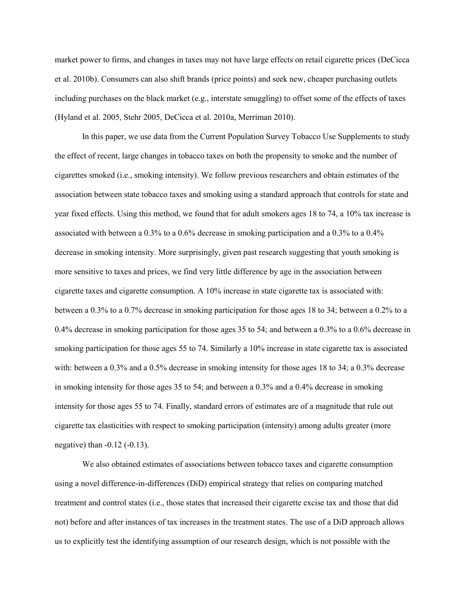market power to firms, and changes in taxes may not have large effects on retail cigarette prices (DeCicca et al. 2010b). Consumers can also shift brands (price points) and seek new, cheaper purchasing outlets including purchases on the black market (e.g., interstate smuggling) to offset some of the effects of taxes (Hyland et al. 2005, Stehr 2005, DeCicca et al. 2010a, Merriman 2010).

In this paper, we use data from the Current Population Survey Tobacco Use Supplements to study the effect of recent, large changes in tobacco taxes on both the propensity to smoke and the number of cigarettes smoked (i.e., smoking intensity). We follow previous researchers and obtain estimates of the association between state tobacco taxes and smoking using a standard approach that controls for state and year fixed effects. Using this method, we found that for adult smokers ages 18 to 74, a 10% tax increase is associated with between a 0.3% to a 0.6% decrease in smoking participation and a 0.3% to a 0.4% decrease in smoking intensity. More surprisingly, given past research suggesting that youth smoking is more sensitive to taxes and prices, we find very little difference by age in the association between cigarette taxes and cigarette consumption. A 10% increase in state cigarette tax is associated with: between a 0.3% to a 0.7% decrease in smoking participation for those ages 18 to 34; between a 0.2% to a 0.4% decrease in smoking participation for those ages 35 to 54; and between a 0.3% to a 0.6% decrease in smoking participation for those ages 55 to 74. Similarly a 10% increase in state cigarette tax is associated with: between a 0.3% and a 0.5% decrease in smoking intensity for those ages 18 to 34; a 0.3% decrease in smoking intensity for those ages 35 to 54; and between a 0.3% and a 0.4% decrease in smoking intensity for those ages 55 to 74. Finally, standard errors of estimates are of a magnitude that rule out cigarette tax elasticities with respect to smoking participation (intensity) among adults greater (more negative) than -0.12 (-0.13).

We also obtained estimates of associations between tobacco taxes and cigarette consumption using a novel difference-in-differences (DiD) empirical strategy that relies on comparing matched treatment and control states (i.e., those states that increased their cigarette excise tax and those that did not) before and after instances of tax increases in the treatment states. The use of a DiD approach allows us to explicitly test the identifying assumption of our research design, which is not possible with the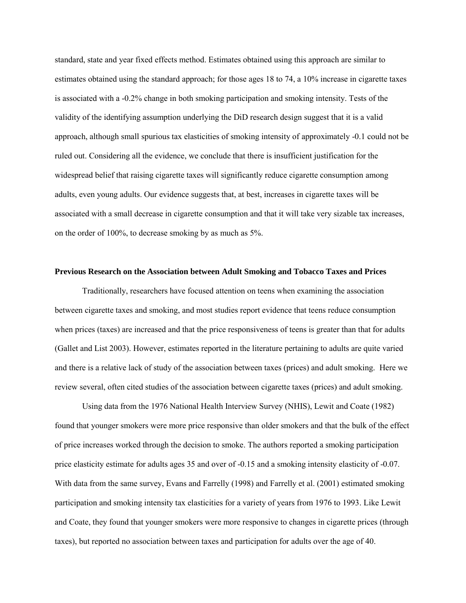standard, state and year fixed effects method. Estimates obtained using this approach are similar to estimates obtained using the standard approach; for those ages 18 to 74, a 10% increase in cigarette taxes is associated with a -0.2% change in both smoking participation and smoking intensity. Tests of the validity of the identifying assumption underlying the DiD research design suggest that it is a valid approach, although small spurious tax elasticities of smoking intensity of approximately -0.1 could not be ruled out. Considering all the evidence, we conclude that there is insufficient justification for the widespread belief that raising cigarette taxes will significantly reduce cigarette consumption among adults, even young adults. Our evidence suggests that, at best, increases in cigarette taxes will be associated with a small decrease in cigarette consumption and that it will take very sizable tax increases, on the order of 100%, to decrease smoking by as much as 5%.

#### **Previous Research on the Association between Adult Smoking and Tobacco Taxes and Prices**

Traditionally, researchers have focused attention on teens when examining the association between cigarette taxes and smoking, and most studies report evidence that teens reduce consumption when prices (taxes) are increased and that the price responsiveness of teens is greater than that for adults (Gallet and List 2003). However, estimates reported in the literature pertaining to adults are quite varied and there is a relative lack of study of the association between taxes (prices) and adult smoking. Here we review several, often cited studies of the association between cigarette taxes (prices) and adult smoking.

Using data from the 1976 National Health Interview Survey (NHIS), Lewit and Coate (1982) found that younger smokers were more price responsive than older smokers and that the bulk of the effect of price increases worked through the decision to smoke. The authors reported a smoking participation price elasticity estimate for adults ages 35 and over of -0.15 and a smoking intensity elasticity of -0.07. With data from the same survey, Evans and Farrelly (1998) and Farrelly et al. (2001) estimated smoking participation and smoking intensity tax elasticities for a variety of years from 1976 to 1993. Like Lewit and Coate, they found that younger smokers were more responsive to changes in cigarette prices (through taxes), but reported no association between taxes and participation for adults over the age of 40.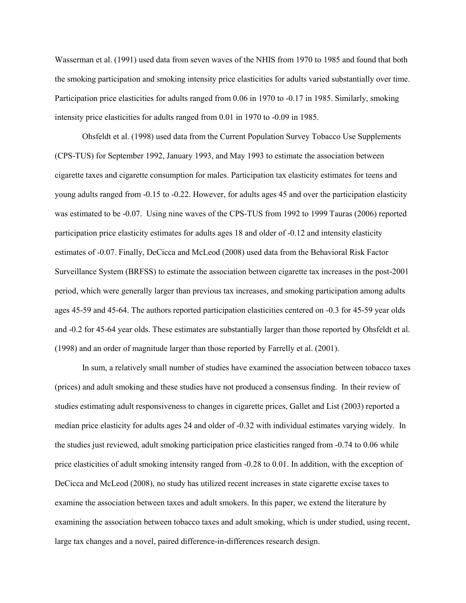Wasserman et al. (1991) used data from seven waves of the NHIS from 1970 to 1985 and found that both the smoking participation and smoking intensity price elasticities for adults varied substantially over time. Participation price elasticities for adults ranged from 0.06 in 1970 to -0.17 in 1985. Similarly, smoking intensity price elasticities for adults ranged from 0.01 in 1970 to -0.09 in 1985.

Ohsfeldt et al. (1998) used data from the Current Population Survey Tobacco Use Supplements (CPS-TUS) for September 1992, January 1993, and May 1993 to estimate the association between cigarette taxes and cigarette consumption for males. Participation tax elasticity estimates for teens and young adults ranged from -0.15 to -0.22. However, for adults ages 45 and over the participation elasticity was estimated to be -0.07. Using nine waves of the CPS-TUS from 1992 to 1999 Tauras (2006) reported participation price elasticity estimates for adults ages 18 and older of -0.12 and intensity elasticity estimates of -0.07. Finally, DeCicca and McLeod (2008) used data from the Behavioral Risk Factor Surveillance System (BRFSS) to estimate the association between cigarette tax increases in the post-2001 period, which were generally larger than previous tax increases, and smoking participation among adults ages 45-59 and 45-64. The authors reported participation elasticities centered on -0.3 for 45-59 year olds and -0.2 for 45-64 year olds. These estimates are substantially larger than those reported by Ohsfeldt et al. (1998) and an order of magnitude larger than those reported by Farrelly et al. (2001).

In sum, a relatively small number of studies have examined the association between tobacco taxes (prices) and adult smoking and these studies have not produced a consensus finding. In their review of studies estimating adult responsiveness to changes in cigarette prices, Gallet and List (2003) reported a median price elasticity for adults ages 24 and older of -0.32 with individual estimates varying widely. In the studies just reviewed, adult smoking participation price elasticities ranged from -0.74 to 0.06 while price elasticities of adult smoking intensity ranged from -0.28 to 0.01. In addition, with the exception of DeCicca and McLeod (2008), no study has utilized recent increases in state cigarette excise taxes to examine the association between taxes and adult smokers. In this paper, we extend the literature by examining the association between tobacco taxes and adult smoking, which is under studied, using recent, large tax changes and a novel, paired difference-in-differences research design.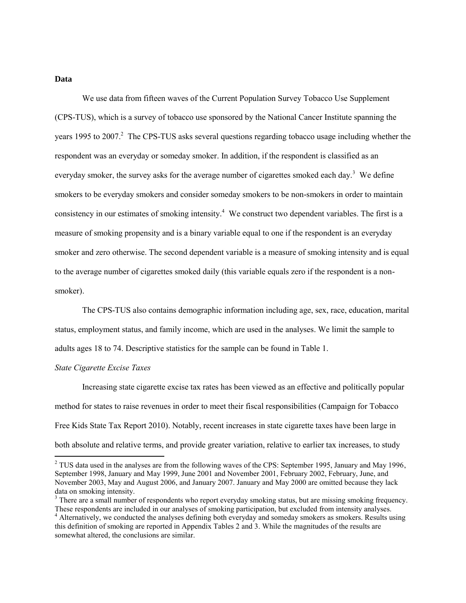**Data** 

 We use data from fifteen waves of the Current Population Survey Tobacco Use Supplement (CPS-TUS), which is a survey of tobacco use sponsored by the National Cancer Institute spanning the years 1995 to 2007.<sup>2</sup> The CPS-TUS asks several questions regarding tobacco usage including whether the respondent was an everyday or someday smoker. In addition, if the respondent is classified as an everyday smoker, the survey asks for the average number of cigarettes smoked each day.<sup>3</sup> We define smokers to be everyday smokers and consider someday smokers to be non-smokers in order to maintain consistency in our estimates of smoking intensity.<sup>4</sup> We construct two dependent variables. The first is a measure of smoking propensity and is a binary variable equal to one if the respondent is an everyday smoker and zero otherwise. The second dependent variable is a measure of smoking intensity and is equal to the average number of cigarettes smoked daily (this variable equals zero if the respondent is a nonsmoker).

The CPS-TUS also contains demographic information including age, sex, race, education, marital status, employment status, and family income, which are used in the analyses. We limit the sample to adults ages 18 to 74. Descriptive statistics for the sample can be found in Table 1.

#### *State Cigarette Excise Taxes*

 $\overline{a}$ 

 Increasing state cigarette excise tax rates has been viewed as an effective and politically popular method for states to raise revenues in order to meet their fiscal responsibilities (Campaign for Tobacco Free Kids State Tax Report 2010). Notably, recent increases in state cigarette taxes have been large in both absolute and relative terms, and provide greater variation, relative to earlier tax increases, to study

<sup>&</sup>lt;sup>2</sup> TUS data used in the analyses are from the following waves of the CPS: September 1995, January and May 1996, September 1998, January and May 1999, June 2001 and November 2001, February 2002, February, June, and November 2003, May and August 2006, and January 2007. January and May 2000 are omitted because they lack data on smoking intensity.

<sup>&</sup>lt;sup>3</sup> There are a small number of respondents who report everyday smoking status, but are missing smoking frequency. These respondents are included in our analyses of smoking participation, but excluded from intensity analyses.

<sup>&</sup>lt;sup>4</sup> Alternatively, we conducted the analyses defining both everyday and someday smokers as smokers. Results using this definition of smoking are reported in Appendix Tables 2 and 3. While the magnitudes of the results are somewhat altered, the conclusions are similar.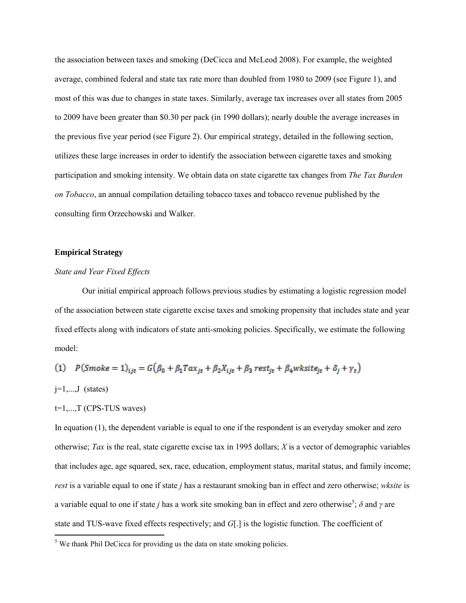the association between taxes and smoking (DeCicca and McLeod 2008). For example, the weighted average, combined federal and state tax rate more than doubled from 1980 to 2009 (see Figure 1), and most of this was due to changes in state taxes. Similarly, average tax increases over all states from 2005 to 2009 have been greater than \$0.30 per pack (in 1990 dollars); nearly double the average increases in the previous five year period (see Figure 2). Our empirical strategy, detailed in the following section, utilizes these large increases in order to identify the association between cigarette taxes and smoking participation and smoking intensity. We obtain data on state cigarette tax changes from *The Tax Burden on Tobacco*, an annual compilation detailing tobacco taxes and tobacco revenue published by the consulting firm Orzechowski and Walker.

## **Empirical Strategy**

#### *State and Year Fixed Effects*

Our initial empirical approach follows previous studies by estimating a logistic regression model of the association between state cigarette excise taxes and smoking propensity that includes state and year fixed effects along with indicators of state anti-smoking policies. Specifically, we estimate the following model:

(1) 
$$
P(Smoke = 1)_{ijt} = G(\beta_0 + \beta_1 Tax_{jt} + \beta_2 X_{ijt} + \beta_3 rest_{jt} + \beta_4 wksite_{jt} + \delta_j + \gamma_t)
$$

 $j=1,...,J$  (states)

 $\overline{a}$ 

 $t=1,...,T$  (CPS-TUS waves)

In equation (1), the dependent variable is equal to one if the respondent is an everyday smoker and zero otherwise; *Tax* is the real, state cigarette excise tax in 1995 dollars; *X* is a vector of demographic variables that includes age, age squared, sex, race, education, employment status, marital status, and family income; *rest* is a variable equal to one if state *j* has a restaurant smoking ban in effect and zero otherwise; *wksite* is a variable equal to one if state *j* has a work site smoking ban in effect and zero otherwise<sup>5</sup>; *δ* and *γ* are state and TUS-wave fixed effects respectively; and *G*[.] is the logistic function. The coefficient of

 $<sup>5</sup>$  We thank Phil DeCicca for providing us the data on state smoking policies.</sup>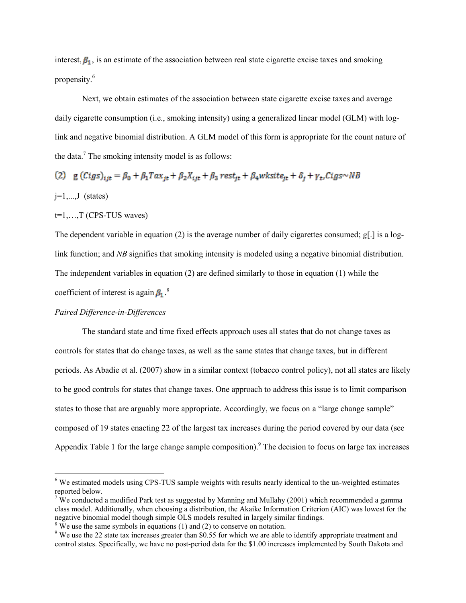interest,  $\beta_1$ , is an estimate of the association between real state cigarette excise taxes and smoking propensity.<sup>6</sup>

Next, we obtain estimates of the association between state cigarette excise taxes and average daily cigarette consumption (i.e., smoking intensity) using a generalized linear model (GLM) with loglink and negative binomial distribution. A GLM model of this form is appropriate for the count nature of the data. $7$  The smoking intensity model is as follows:

(2) 
$$
g(Cigs)_{ijt} = \beta_0 + \beta_1 Tax_{jt} + \beta_2X_{ijt} + \beta_3 rest_{jt} + \beta_4 wksite_{jt} + \delta_j + \gamma_t.Cigs \sim NB
$$

 $j=1,...,J$  (states)

 $\overline{a}$ 

 $t=1,...,T$  (CPS-TUS waves)

The dependent variable in equation (2) is the average number of daily cigarettes consumed; *g*[.] is a loglink function; and *NB* signifies that smoking intensity is modeled using a negative binomial distribution. The independent variables in equation (2) are defined similarly to those in equation (1) while the coefficient of interest is again  $\beta_1$ .<sup>8</sup>

#### *Paired Difference-in-Differences*

The standard state and time fixed effects approach uses all states that do not change taxes as controls for states that do change taxes, as well as the same states that change taxes, but in different periods. As Abadie et al. (2007) show in a similar context (tobacco control policy), not all states are likely to be good controls for states that change taxes. One approach to address this issue is to limit comparison states to those that are arguably more appropriate. Accordingly, we focus on a "large change sample" composed of 19 states enacting 22 of the largest tax increases during the period covered by our data (see Appendix Table 1 for the large change sample composition).<sup>9</sup> The decision to focus on large tax increases

<sup>&</sup>lt;sup>6</sup> We estimated models using CPS-TUS sample weights with results nearly identical to the un-weighted estimates reported below.

 $7$  We conducted a modified Park test as suggested by Manning and Mullahy (2001) which recommended a gamma class model. Additionally, when choosing a distribution, the Akaike Information Criterion (AIC) was lowest for the negative binomial model though simple OLS models resulted in largely similar findings.

 $8$  We use the same symbols in equations (1) and (2) to conserve on notation.

 $9$  We use the 22 state tax increases greater than \$0.55 for which we are able to identify appropriate treatment and control states. Specifically, we have no post-period data for the \$1.00 increases implemented by South Dakota and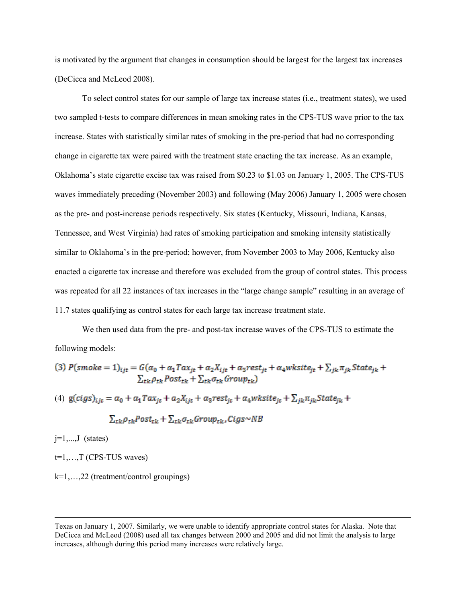is motivated by the argument that changes in consumption should be largest for the largest tax increases (DeCicca and McLeod 2008).

To select control states for our sample of large tax increase states (i.e., treatment states), we used two sampled t-tests to compare differences in mean smoking rates in the CPS-TUS wave prior to the tax increase. States with statistically similar rates of smoking in the pre-period that had no corresponding change in cigarette tax were paired with the treatment state enacting the tax increase. As an example, Oklahoma's state cigarette excise tax was raised from \$0.23 to \$1.03 on January 1, 2005. The CPS-TUS waves immediately preceding (November 2003) and following (May 2006) January 1, 2005 were chosen as the pre- and post-increase periods respectively. Six states (Kentucky, Missouri, Indiana, Kansas, Tennessee, and West Virginia) had rates of smoking participation and smoking intensity statistically similar to Oklahoma's in the pre-period; however, from November 2003 to May 2006, Kentucky also enacted a cigarette tax increase and therefore was excluded from the group of control states. This process was repeated for all 22 instances of tax increases in the "large change sample" resulting in an average of 11.7 states qualifying as control states for each large tax increase treatment state.

We then used data from the pre- and post-tax increase waves of the CPS-TUS to estimate the following models:

(3) 
$$
P(smoke = 1)_{ijt} = G(\alpha_0 + \alpha_1 Tax_{jt} + \alpha_2X_{ijt} + \alpha_3rest_{jt} + \alpha_4wksite_{jt} + \sum_{jk}\pi_{jk}State_{jk} + \sum_{tk}\rho_{tk}Post_{tk} + \sum_{tk}\sigma_{tk}Group_{tk})
$$

(4) 
$$
g(cigs)_{ijt} = \alpha_0 + \alpha_1 Tax_{jt} + a_2X_{ijt} + \alpha_3rest_{jt} + \alpha_4wksite_{jt} + \sum_{jk}\pi_{jk}State_{jk} +
$$

$$
\Sigma_{tk}\rho_{tk}Post_{tk} + \Sigma_{tk}\sigma_{tk}Group_{tk}, Cigs\sim NB
$$

 $j=1,...,J$  (states)

 $\overline{a}$ 

 $t=1,...,T$  (CPS-TUS waves)

k=1,…,22 (treatment/control groupings)

Texas on January 1, 2007. Similarly, we were unable to identify appropriate control states for Alaska. Note that DeCicca and McLeod (2008) used all tax changes between 2000 and 2005 and did not limit the analysis to large increases, although during this period many increases were relatively large.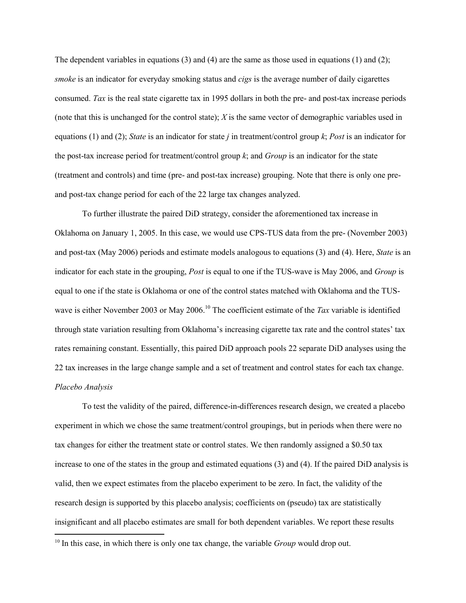The dependent variables in equations (3) and (4) are the same as those used in equations (1) and (2); *smoke* is an indicator for everyday smoking status and *cigs* is the average number of daily cigarettes consumed. *Tax* is the real state cigarette tax in 1995 dollars in both the pre- and post-tax increase periods (note that this is unchanged for the control state); *X* is the same vector of demographic variables used in equations (1) and (2); *State* is an indicator for state *j* in treatment/control group *k*; *Post* is an indicator for the post-tax increase period for treatment/control group *k*; and *Group* is an indicator for the state (treatment and controls) and time (pre- and post-tax increase) grouping. Note that there is only one preand post-tax change period for each of the 22 large tax changes analyzed.

 To further illustrate the paired DiD strategy, consider the aforementioned tax increase in Oklahoma on January 1, 2005. In this case, we would use CPS-TUS data from the pre- (November 2003) and post-tax (May 2006) periods and estimate models analogous to equations (3) and (4). Here, *State* is an indicator for each state in the grouping, *Post* is equal to one if the TUS-wave is May 2006, and *Group* is equal to one if the state is Oklahoma or one of the control states matched with Oklahoma and the TUSwave is either November 2003 or May 2006.<sup>10</sup> The coefficient estimate of the *Tax* variable is identified through state variation resulting from Oklahoma's increasing cigarette tax rate and the control states' tax rates remaining constant. Essentially, this paired DiD approach pools 22 separate DiD analyses using the 22 tax increases in the large change sample and a set of treatment and control states for each tax change. *Placebo Analysis* 

To test the validity of the paired, difference-in-differences research design, we created a placebo experiment in which we chose the same treatment/control groupings, but in periods when there were no tax changes for either the treatment state or control states. We then randomly assigned a \$0.50 tax increase to one of the states in the group and estimated equations (3) and (4). If the paired DiD analysis is valid, then we expect estimates from the placebo experiment to be zero. In fact, the validity of the research design is supported by this placebo analysis; coefficients on (pseudo) tax are statistically insignificant and all placebo estimates are small for both dependent variables. We report these results

 $\overline{a}$ 

<sup>&</sup>lt;sup>10</sup> In this case, in which there is only one tax change, the variable *Group* would drop out.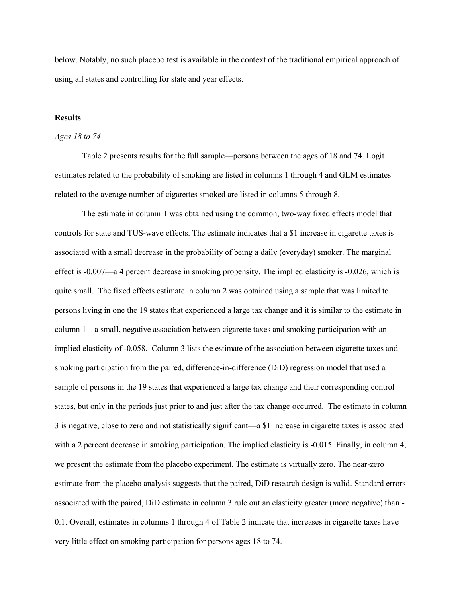below. Notably, no such placebo test is available in the context of the traditional empirical approach of using all states and controlling for state and year effects.

### **Results**

#### *Ages 18 to 74*

Table 2 presents results for the full sample—persons between the ages of 18 and 74. Logit estimates related to the probability of smoking are listed in columns 1 through 4 and GLM estimates related to the average number of cigarettes smoked are listed in columns 5 through 8.

The estimate in column 1 was obtained using the common, two-way fixed effects model that controls for state and TUS-wave effects. The estimate indicates that a \$1 increase in cigarette taxes is associated with a small decrease in the probability of being a daily (everyday) smoker. The marginal effect is -0.007—a 4 percent decrease in smoking propensity. The implied elasticity is -0.026, which is quite small. The fixed effects estimate in column 2 was obtained using a sample that was limited to persons living in one the 19 states that experienced a large tax change and it is similar to the estimate in column 1—a small, negative association between cigarette taxes and smoking participation with an implied elasticity of -0.058. Column 3 lists the estimate of the association between cigarette taxes and smoking participation from the paired, difference-in-difference (DiD) regression model that used a sample of persons in the 19 states that experienced a large tax change and their corresponding control states, but only in the periods just prior to and just after the tax change occurred. The estimate in column 3 is negative, close to zero and not statistically significant—a \$1 increase in cigarette taxes is associated with a 2 percent decrease in smoking participation. The implied elasticity is -0.015. Finally, in column 4, we present the estimate from the placebo experiment. The estimate is virtually zero. The near-zero estimate from the placebo analysis suggests that the paired, DiD research design is valid. Standard errors associated with the paired, DiD estimate in column 3 rule out an elasticity greater (more negative) than - 0.1. Overall, estimates in columns 1 through 4 of Table 2 indicate that increases in cigarette taxes have very little effect on smoking participation for persons ages 18 to 74.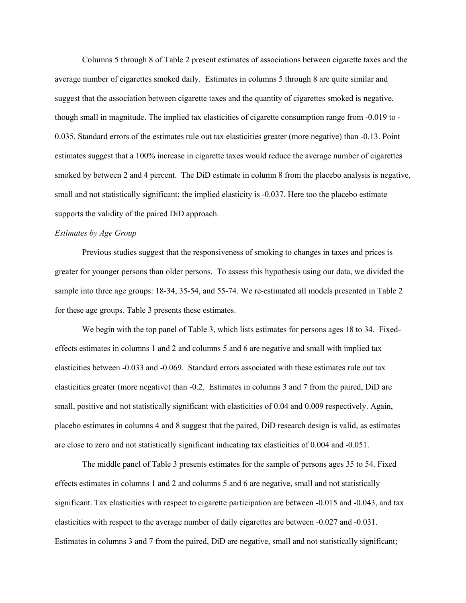Columns 5 through 8 of Table 2 present estimates of associations between cigarette taxes and the average number of cigarettes smoked daily. Estimates in columns 5 through 8 are quite similar and suggest that the association between cigarette taxes and the quantity of cigarettes smoked is negative, though small in magnitude. The implied tax elasticities of cigarette consumption range from -0.019 to - 0.035. Standard errors of the estimates rule out tax elasticities greater (more negative) than -0.13. Point estimates suggest that a 100% increase in cigarette taxes would reduce the average number of cigarettes smoked by between 2 and 4 percent. The DiD estimate in column 8 from the placebo analysis is negative, small and not statistically significant; the implied elasticity is -0.037. Here too the placebo estimate supports the validity of the paired DiD approach.

#### *Estimates by Age Group*

Previous studies suggest that the responsiveness of smoking to changes in taxes and prices is greater for younger persons than older persons. To assess this hypothesis using our data, we divided the sample into three age groups: 18-34, 35-54, and 55-74. We re-estimated all models presented in Table 2 for these age groups. Table 3 presents these estimates.

We begin with the top panel of Table 3, which lists estimates for persons ages 18 to 34. Fixedeffects estimates in columns 1 and 2 and columns 5 and 6 are negative and small with implied tax elasticities between -0.033 and -0.069. Standard errors associated with these estimates rule out tax elasticities greater (more negative) than -0.2. Estimates in columns 3 and 7 from the paired, DiD are small, positive and not statistically significant with elasticities of 0.04 and 0.009 respectively. Again, placebo estimates in columns 4 and 8 suggest that the paired, DiD research design is valid, as estimates are close to zero and not statistically significant indicating tax elasticities of 0.004 and -0.051.

The middle panel of Table 3 presents estimates for the sample of persons ages 35 to 54. Fixed effects estimates in columns 1 and 2 and columns 5 and 6 are negative, small and not statistically significant. Tax elasticities with respect to cigarette participation are between -0.015 and -0.043, and tax elasticities with respect to the average number of daily cigarettes are between -0.027 and -0.031. Estimates in columns 3 and 7 from the paired, DiD are negative, small and not statistically significant;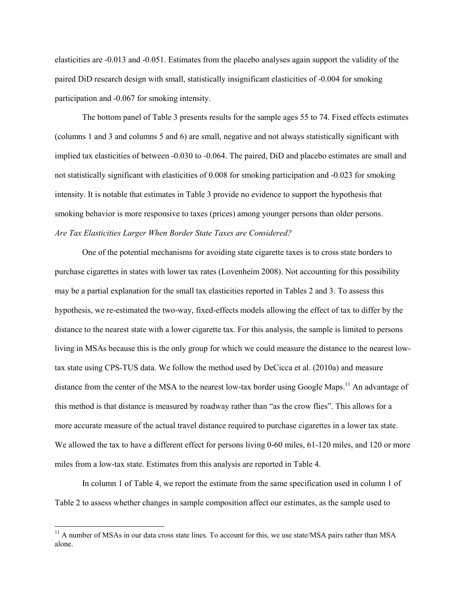elasticities are -0.013 and -0.051. Estimates from the placebo analyses again support the validity of the paired DiD research design with small, statistically insignificant elasticities of -0.004 for smoking participation and -0.067 for smoking intensity.

The bottom panel of Table 3 presents results for the sample ages 55 to 74. Fixed effects estimates (columns 1 and 3 and columns 5 and 6) are small, negative and not always statistically significant with implied tax elasticities of between -0.030 to -0.064. The paired, DiD and placebo estimates are small and not statistically significant with elasticities of 0.008 for smoking participation and -0.023 for smoking intensity. It is notable that estimates in Table 3 provide no evidence to support the hypothesis that smoking behavior is more responsive to taxes (prices) among younger persons than older persons. *Are Tax Elasticities Larger When Border State Taxes are Considered?* 

One of the potential mechanisms for avoiding state cigarette taxes is to cross state borders to purchase cigarettes in states with lower tax rates (Lovenheim 2008). Not accounting for this possibility may be a partial explanation for the small tax elasticities reported in Tables 2 and 3. To assess this hypothesis, we re-estimated the two-way, fixed-effects models allowing the effect of tax to differ by the distance to the nearest state with a lower cigarette tax. For this analysis, the sample is limited to persons living in MSAs because this is the only group for which we could measure the distance to the nearest lowtax state using CPS-TUS data. We follow the method used by DeCicca et al. (2010a) and measure distance from the center of the MSA to the nearest low-tax border using Google Maps.<sup>11</sup> An advantage of this method is that distance is measured by roadway rather than "as the crow flies". This allows for a more accurate measure of the actual travel distance required to purchase cigarettes in a lower tax state. We allowed the tax to have a different effect for persons living 0-60 miles, 61-120 miles, and 120 or more miles from a low-tax state. Estimates from this analysis are reported in Table 4.

In column 1 of Table 4, we report the estimate from the same specification used in column 1 of Table 2 to assess whether changes in sample composition affect our estimates, as the sample used to

 $\overline{a}$ 

 $11$  A number of MSAs in our data cross state lines. To account for this, we use state/MSA pairs rather than MSA alone.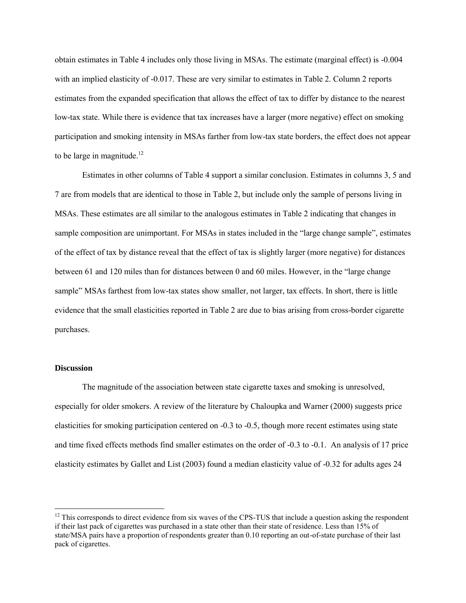obtain estimates in Table 4 includes only those living in MSAs. The estimate (marginal effect) is -0.004 with an implied elasticity of -0.017. These are very similar to estimates in Table 2. Column 2 reports estimates from the expanded specification that allows the effect of tax to differ by distance to the nearest low-tax state. While there is evidence that tax increases have a larger (more negative) effect on smoking participation and smoking intensity in MSAs farther from low-tax state borders, the effect does not appear to be large in magnitude. $12$ 

 Estimates in other columns of Table 4 support a similar conclusion. Estimates in columns 3, 5 and 7 are from models that are identical to those in Table 2, but include only the sample of persons living in MSAs. These estimates are all similar to the analogous estimates in Table 2 indicating that changes in sample composition are unimportant. For MSAs in states included in the "large change sample", estimates of the effect of tax by distance reveal that the effect of tax is slightly larger (more negative) for distances between 61 and 120 miles than for distances between 0 and 60 miles. However, in the "large change sample" MSAs farthest from low-tax states show smaller, not larger, tax effects. In short, there is little evidence that the small elasticities reported in Table 2 are due to bias arising from cross-border cigarette purchases.

#### **Discussion**

 $\overline{a}$ 

The magnitude of the association between state cigarette taxes and smoking is unresolved, especially for older smokers. A review of the literature by Chaloupka and Warner (2000) suggests price elasticities for smoking participation centered on -0.3 to -0.5, though more recent estimates using state and time fixed effects methods find smaller estimates on the order of -0.3 to -0.1. An analysis of 17 price elasticity estimates by Gallet and List (2003) found a median elasticity value of -0.32 for adults ages 24

 $12$  This corresponds to direct evidence from six waves of the CPS-TUS that include a question asking the respondent if their last pack of cigarettes was purchased in a state other than their state of residence. Less than 15% of state/MSA pairs have a proportion of respondents greater than 0.10 reporting an out-of-state purchase of their last pack of cigarettes.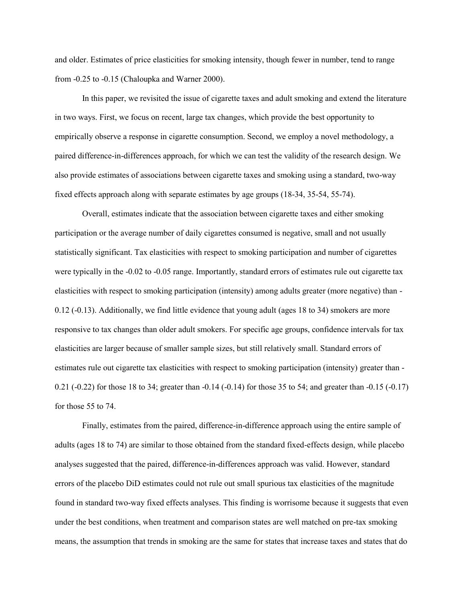and older. Estimates of price elasticities for smoking intensity, though fewer in number, tend to range from -0.25 to -0.15 (Chaloupka and Warner 2000).

In this paper, we revisited the issue of cigarette taxes and adult smoking and extend the literature in two ways. First, we focus on recent, large tax changes, which provide the best opportunity to empirically observe a response in cigarette consumption. Second, we employ a novel methodology, a paired difference-in-differences approach, for which we can test the validity of the research design. We also provide estimates of associations between cigarette taxes and smoking using a standard, two-way fixed effects approach along with separate estimates by age groups (18-34, 35-54, 55-74).

Overall, estimates indicate that the association between cigarette taxes and either smoking participation or the average number of daily cigarettes consumed is negative, small and not usually statistically significant. Tax elasticities with respect to smoking participation and number of cigarettes were typically in the -0.02 to -0.05 range. Importantly, standard errors of estimates rule out cigarette tax elasticities with respect to smoking participation (intensity) among adults greater (more negative) than - 0.12 (-0.13). Additionally, we find little evidence that young adult (ages 18 to 34) smokers are more responsive to tax changes than older adult smokers. For specific age groups, confidence intervals for tax elasticities are larger because of smaller sample sizes, but still relatively small. Standard errors of estimates rule out cigarette tax elasticities with respect to smoking participation (intensity) greater than - 0.21 (-0.22) for those 18 to 34; greater than -0.14 (-0.14) for those 35 to 54; and greater than -0.15 (-0.17) for those 55 to 74.

Finally, estimates from the paired, difference-in-difference approach using the entire sample of adults (ages 18 to 74) are similar to those obtained from the standard fixed-effects design, while placebo analyses suggested that the paired, difference-in-differences approach was valid. However, standard errors of the placebo DiD estimates could not rule out small spurious tax elasticities of the magnitude found in standard two-way fixed effects analyses. This finding is worrisome because it suggests that even under the best conditions, when treatment and comparison states are well matched on pre-tax smoking means, the assumption that trends in smoking are the same for states that increase taxes and states that do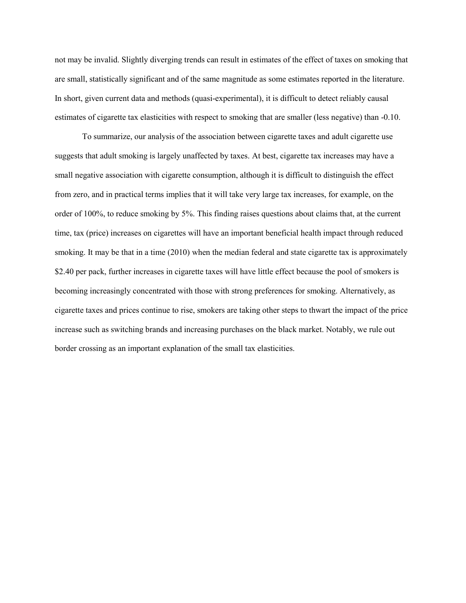not may be invalid. Slightly diverging trends can result in estimates of the effect of taxes on smoking that are small, statistically significant and of the same magnitude as some estimates reported in the literature. In short, given current data and methods (quasi-experimental), it is difficult to detect reliably causal estimates of cigarette tax elasticities with respect to smoking that are smaller (less negative) than -0.10.

To summarize, our analysis of the association between cigarette taxes and adult cigarette use suggests that adult smoking is largely unaffected by taxes. At best, cigarette tax increases may have a small negative association with cigarette consumption, although it is difficult to distinguish the effect from zero, and in practical terms implies that it will take very large tax increases, for example, on the order of 100%, to reduce smoking by 5%. This finding raises questions about claims that, at the current time, tax (price) increases on cigarettes will have an important beneficial health impact through reduced smoking. It may be that in a time (2010) when the median federal and state cigarette tax is approximately \$2.40 per pack, further increases in cigarette taxes will have little effect because the pool of smokers is becoming increasingly concentrated with those with strong preferences for smoking. Alternatively, as cigarette taxes and prices continue to rise, smokers are taking other steps to thwart the impact of the price increase such as switching brands and increasing purchases on the black market. Notably, we rule out border crossing as an important explanation of the small tax elasticities.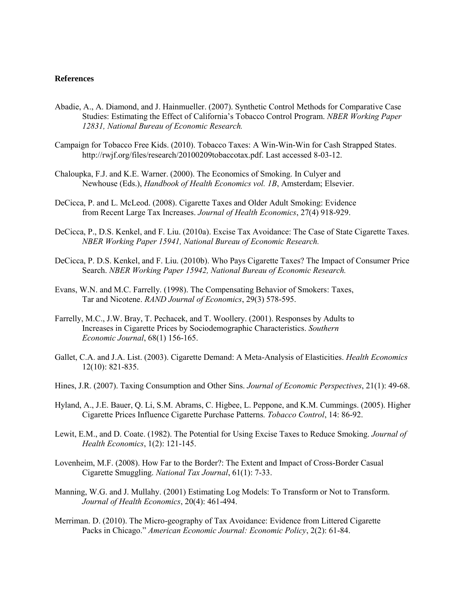#### **References**

- Abadie, A., A. Diamond, and J. Hainmueller. (2007). Synthetic Control Methods for Comparative Case Studies: Estimating the Effect of California's Tobacco Control Program. *NBER Working Paper 12831, National Bureau of Economic Research.*
- Campaign for Tobacco Free Kids. (2010). Tobacco Taxes: A Win-Win-Win for Cash Strapped States. http://rwjf.org/files/research/20100209tobaccotax.pdf. Last accessed 8-03-12.
- Chaloupka, F.J. and K.E. Warner. (2000). The Economics of Smoking. In Culyer and Newhouse (Eds.), *Handbook of Health Economics vol. 1B*, Amsterdam; Elsevier.
- DeCicca, P. and L. McLeod. (2008). Cigarette Taxes and Older Adult Smoking: Evidence from Recent Large Tax Increases. *Journal of Health Economics*, 27(4) 918-929.
- DeCicca, P., D.S. Kenkel, and F. Liu. (2010a). Excise Tax Avoidance: The Case of State Cigarette Taxes. *NBER Working Paper 15941, National Bureau of Economic Research.*
- DeCicca, P. D.S. Kenkel, and F. Liu. (2010b). Who Pays Cigarette Taxes? The Impact of Consumer Price Search. *NBER Working Paper 15942, National Bureau of Economic Research.*
- Evans, W.N. and M.C. Farrelly. (1998). The Compensating Behavior of Smokers: Taxes, Tar and Nicotene. *RAND Journal of Economics*, 29(3) 578-595.
- Farrelly, M.C., J.W. Bray, T. Pechacek, and T. Woollery. (2001). Responses by Adults to Increases in Cigarette Prices by Sociodemographic Characteristics. *Southern Economic Journal*, 68(1) 156-165.
- Gallet, C.A. and J.A. List. (2003). Cigarette Demand: A Meta-Analysis of Elasticities. *Health Economics* 12(10): 821-835.
- Hines, J.R. (2007). Taxing Consumption and Other Sins. *Journal of Economic Perspectives*, 21(1): 49-68.
- Hyland, A., J.E. Bauer, Q. Li, S.M. Abrams, C. Higbee, L. Peppone, and K.M. Cummings. (2005). Higher Cigarette Prices Influence Cigarette Purchase Patterns. *Tobacco Control*, 14: 86-92.
- Lewit, E.M., and D. Coate. (1982). The Potential for Using Excise Taxes to Reduce Smoking. *Journal of Health Economics*, 1(2): 121-145.
- Lovenheim, M.F. (2008). How Far to the Border?: The Extent and Impact of Cross-Border Casual Cigarette Smuggling. *National Tax Journal*, 61(1): 7-33.
- Manning, W.G. and J. Mullahy. (2001) Estimating Log Models: To Transform or Not to Transform. *Journal of Health Economics*, 20(4): 461-494.
- Merriman. D. (2010). The Micro-geography of Tax Avoidance: Evidence from Littered Cigarette Packs in Chicago." *American Economic Journal: Economic Policy*, 2(2): 61-84.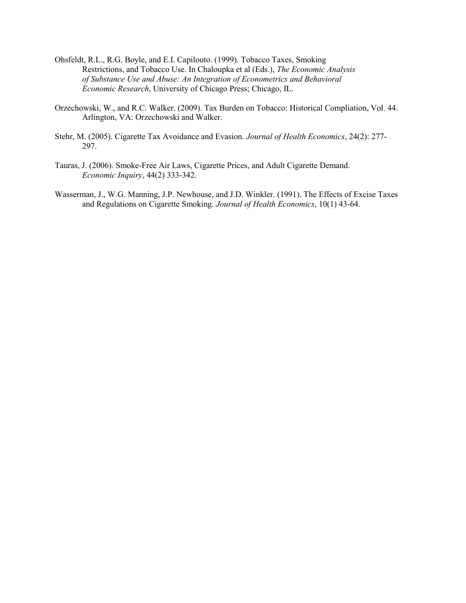- Ohsfeldt, R.L., R.G. Boyle, and E.I. Capilouto. (1999). Tobacco Taxes, Smoking Restrictions, and Tobacco Use. In Chaloupka et al (Eds.), *The Economic Analysis of Substance Use and Abuse: An Integration of Econometrics and Behavioral Economic Research*, University of Chicago Press; Chicago, IL.
- Orzechowski, W., and R.C. Walker. (2009). Tax Burden on Tobacco: Historical Compliation, Vol. 44. Arlington, VA: Orzechowski and Walker.
- Stehr, M. (2005). Cigarette Tax Avoidance and Evasion. *Journal of Health Economics*, 24(2): 277- 297.
- Tauras, J. (2006). Smoke-Free Air Laws, Cigarette Prices, and Adult Cigarette Demand. *Economic Inquiry*, 44(2) 333-342.
- Wasserman, J., W.G. Manning, J.P. Newhouse, and J.D. Winkler. (1991). The Effects of Excise Taxes and Regulations on Cigarette Smoking. *Journal of Health Economics*, 10(1) 43-64.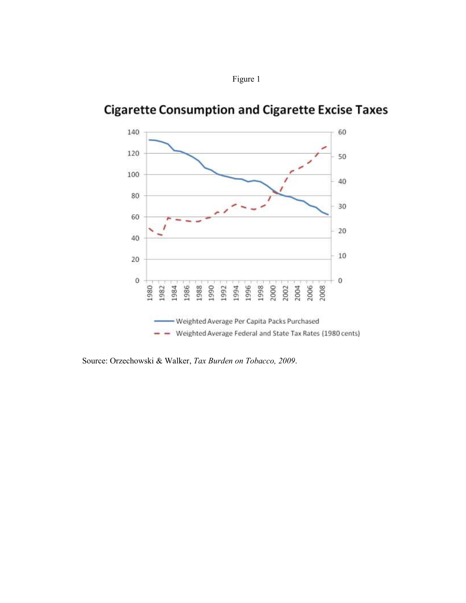



**Cigarette Consumption and Cigarette Excise Taxes** 

Source: Orzechowski & Walker, *Tax Burden on Tobacco, 2009*.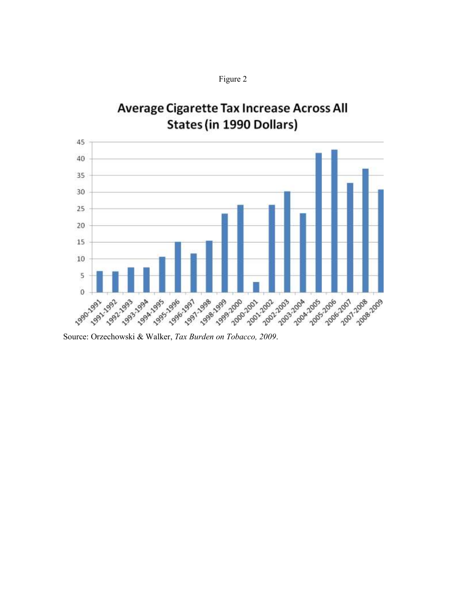

# **Average Cigarette Tax Increase Across All States (in 1990 Dollars)**



Source: Orzechowski & Walker, *Tax Burden on Tobacco, 2009*.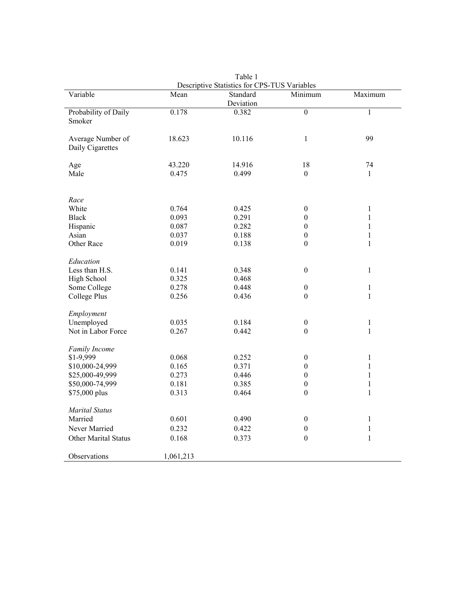| Descriptive Statistics for CPS-TUS Variables |           |           |                  |              |  |  |  |  |  |  |  |
|----------------------------------------------|-----------|-----------|------------------|--------------|--|--|--|--|--|--|--|
| Variable                                     | Mean      | Standard  | Minimum          | Maximum      |  |  |  |  |  |  |  |
|                                              |           | Deviation |                  |              |  |  |  |  |  |  |  |
| Probability of Daily                         | 0.178     | 0.382     | $\boldsymbol{0}$ | $\mathbf{1}$ |  |  |  |  |  |  |  |
| Smoker                                       |           |           |                  |              |  |  |  |  |  |  |  |
|                                              |           |           |                  |              |  |  |  |  |  |  |  |
| Average Number of                            | 18.623    | 10.116    | $\mathbf{1}$     | 99           |  |  |  |  |  |  |  |
| Daily Cigarettes                             |           |           |                  |              |  |  |  |  |  |  |  |
|                                              |           |           |                  |              |  |  |  |  |  |  |  |
| Age                                          | 43.220    | 14.916    | 18               | 74           |  |  |  |  |  |  |  |
| Male                                         | 0.475     | 0.499     | $\theta$         | 1            |  |  |  |  |  |  |  |
|                                              |           |           |                  |              |  |  |  |  |  |  |  |
|                                              |           |           |                  |              |  |  |  |  |  |  |  |
| Race                                         |           |           |                  |              |  |  |  |  |  |  |  |
| White                                        | 0.764     | 0.425     | $\boldsymbol{0}$ | $\mathbf{1}$ |  |  |  |  |  |  |  |
| <b>Black</b>                                 | 0.093     | 0.291     | $\boldsymbol{0}$ | $\mathbf{1}$ |  |  |  |  |  |  |  |
| Hispanic                                     | 0.087     | 0.282     | $\boldsymbol{0}$ | $\mathbf{1}$ |  |  |  |  |  |  |  |
| Asian                                        | 0.037     | 0.188     | $\boldsymbol{0}$ | $\mathbf 1$  |  |  |  |  |  |  |  |
| Other Race                                   | 0.019     | 0.138     | $\overline{0}$   | $\mathbf{1}$ |  |  |  |  |  |  |  |
|                                              |           |           |                  |              |  |  |  |  |  |  |  |
| Education                                    |           |           |                  |              |  |  |  |  |  |  |  |
| Less than H.S.                               | 0.141     | 0.348     | $\boldsymbol{0}$ | $\mathbf{1}$ |  |  |  |  |  |  |  |
| High School                                  | 0.325     | 0.468     |                  |              |  |  |  |  |  |  |  |
| Some College                                 | 0.278     | 0.448     | $\boldsymbol{0}$ | $\,1$        |  |  |  |  |  |  |  |
| College Plus                                 | 0.256     | 0.436     | $\boldsymbol{0}$ | $\mathbf{1}$ |  |  |  |  |  |  |  |
|                                              |           |           |                  |              |  |  |  |  |  |  |  |
| Employment                                   |           |           |                  |              |  |  |  |  |  |  |  |
| Unemployed                                   | 0.035     | 0.184     | $\boldsymbol{0}$ | $\,1$        |  |  |  |  |  |  |  |
| Not in Labor Force                           | 0.267     | 0.442     | $\boldsymbol{0}$ | $\mathbf{1}$ |  |  |  |  |  |  |  |
|                                              |           |           |                  |              |  |  |  |  |  |  |  |
| Family Income                                |           |           |                  |              |  |  |  |  |  |  |  |
| $$1-9,999$                                   | 0.068     | 0.252     | $\boldsymbol{0}$ | $\mathbf{1}$ |  |  |  |  |  |  |  |
| \$10,000-24,999                              | 0.165     | 0.371     | $\boldsymbol{0}$ | $\mathbf{1}$ |  |  |  |  |  |  |  |
| \$25,000-49,999                              | 0.273     | 0.446     | $\boldsymbol{0}$ | $\mathbf{1}$ |  |  |  |  |  |  |  |
| \$50,000-74,999                              | 0.181     | 0.385     | $\boldsymbol{0}$ | $\mathbf{1}$ |  |  |  |  |  |  |  |
| \$75,000 plus                                | 0.313     | 0.464     | $\Omega$         | $\mathbf{1}$ |  |  |  |  |  |  |  |
|                                              |           |           |                  |              |  |  |  |  |  |  |  |
| <b>Marital Status</b>                        |           |           |                  |              |  |  |  |  |  |  |  |
| Married                                      | 0.601     | 0.490     | $\boldsymbol{0}$ | $\,1\,$      |  |  |  |  |  |  |  |
|                                              |           |           |                  |              |  |  |  |  |  |  |  |
| Never Married                                | 0.232     | 0.422     | $\boldsymbol{0}$ | $\mathbf 1$  |  |  |  |  |  |  |  |
| Other Marital Status                         | 0.168     | 0.373     | $\boldsymbol{0}$ | $\mathbf{1}$ |  |  |  |  |  |  |  |
|                                              |           |           |                  |              |  |  |  |  |  |  |  |
| Observations                                 | 1,061,213 |           |                  |              |  |  |  |  |  |  |  |

Table 1 Descriptive Statistics for CPS-TUS Variables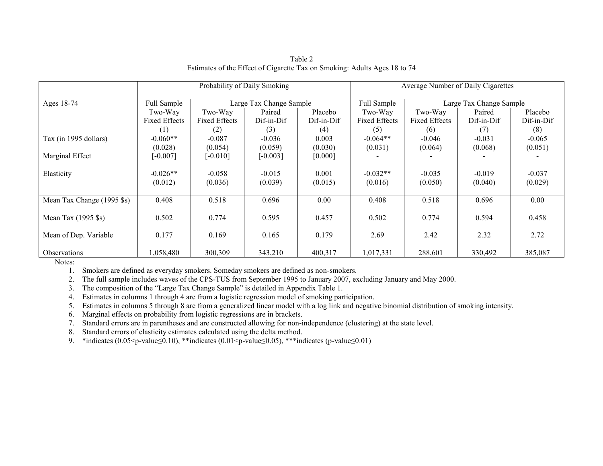|                            | Probability of Daily Smoking |                         |            |            | Average Number of Daily Cigarettes |                         |            |            |
|----------------------------|------------------------------|-------------------------|------------|------------|------------------------------------|-------------------------|------------|------------|
| Ages 18-74                 | Full Sample                  | Large Tax Change Sample |            |            | Full Sample                        | Large Tax Change Sample |            |            |
|                            | Two-Way                      | Two-Way                 | Paired     | Placebo    | Two-Way                            | Two-Way                 | Paired     | Placebo    |
|                            | <b>Fixed Effects</b>         | <b>Fixed Effects</b>    | Dif-in-Dif | Dif-in-Dif | <b>Fixed Effects</b>               | <b>Fixed Effects</b>    | Dif-in-Dif | Dif-in-Dif |
|                            | (1)                          | (2)                     | (3)        | (4)        | (5)                                | (6)                     | (7)        | (8)        |
| Tax (in 1995 dollars)      | $-0.060**$                   | $-0.087$                | $-0.036$   | 0.003      | $-0.064**$                         | $-0.046$                | $-0.031$   | $-0.065$   |
|                            | (0.028)                      | (0.054)                 | (0.059)    | (0.030)    | (0.031)                            | (0.064)                 | (0.068)    | (0.051)    |
| Marginal Effect            | $[-0.007]$                   | $[-0.010]$              | $[-0.003]$ | [0.000]    |                                    |                         |            |            |
| Elasticity                 | $-0.026**$                   | $-0.058$                | $-0.015$   | 0.001      | $-0.032**$                         | $-0.035$                | $-0.019$   | $-0.037$   |
|                            | (0.012)                      | (0.036)                 | (0.039)    | (0.015)    | (0.016)                            | (0.050)                 | (0.040)    | (0.029)    |
| Mean Tax Change (1995 \$s) | 0.408                        | 0.518                   | 0.696      | 0.00       | 0.408                              | 0.518                   | 0.696      | 0.00       |
| Mean Tax (1995 \$s)        | 0.502                        | 0.774                   | 0.595      | 0.457      | 0.502                              | 0.774                   | 0.594      | 0.458      |
| Mean of Dep. Variable      | 0.177                        | 0.169                   | 0.165      | 0.179      | 2.69                               | 2.42                    | 2.32       | 2.72       |
| Observations               | 1,058,480                    | 300,309                 | 343,210    | 400,317    | 1,017,331                          | 288,601                 | 330,492    | 385,087    |

Table 2 Estimates of the Effect of Cigarette Tax on Smoking: Adults Ages 18 to 74

Notes:

1. Smokers are defined as everyday smokers. Someday smokers are defined as non-smokers.

2. The full sample includes waves of the CPS-TUS from September 1995 to January 2007, excluding January and May 2000.

3. The composition of the "Large Tax Change Sample" is detailed in Appendix Table 1.

4. Estimates in columns 1 through 4 are from a logistic regression model of smoking participation.

5. Estimates in columns 5 through 8 are from a generalized linear model with a log link and negative binomial distribution of smoking intensity.

6. Marginal effects on probability from logistic regressions are in brackets.

7. Standard errors are in parentheses and are constructed allowing for non-independence (clustering) at the state level.

8. Standard errors of elasticity estimates calculated using the delta method.

9. \*indicates (0.05 < p-value ≤0.10), \*\*indicates (0.01 < p-value ≤0.05), \*\*\*indicates (p-value ≤0.01)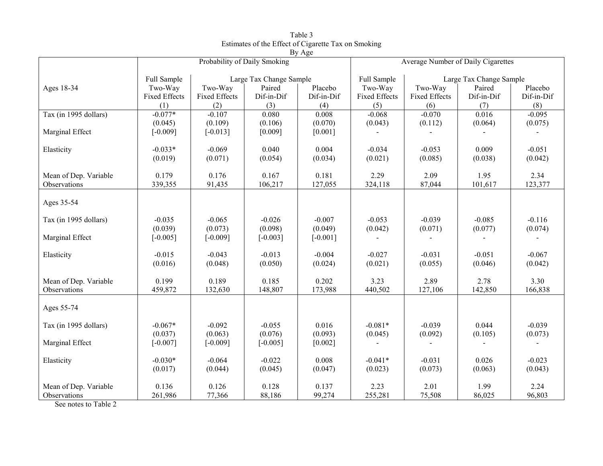| By Age                |                              |                         |            |            |                                        |                      |            |                          |  |
|-----------------------|------------------------------|-------------------------|------------|------------|----------------------------------------|----------------------|------------|--------------------------|--|
|                       | Probability of Daily Smoking |                         |            |            | Average Number of Daily Cigarettes     |                      |            |                          |  |
|                       | Full Sample                  | Large Tax Change Sample |            |            | Full Sample<br>Large Tax Change Sample |                      |            |                          |  |
| Ages 18-34            | Two-Way                      | Two-Way                 | Paired     | Placebo    | Two-Way                                | Two-Way              | Paired     | Placebo                  |  |
|                       | <b>Fixed Effects</b>         | <b>Fixed Effects</b>    | Dif-in-Dif | Dif-in-Dif | <b>Fixed Effects</b>                   | <b>Fixed Effects</b> | Dif-in-Dif | Dif-in-Dif               |  |
|                       | (1)                          | (2)                     | (3)        | (4)        | (5)                                    | (6)                  | (7)        | (8)                      |  |
| Tax (in 1995 dollars) | $-0.077*$                    | $-0.107$                | 0.080      | 0.008      | $-0.068$                               | $-0.070$             | 0.016      | $-0.095$                 |  |
|                       | (0.045)                      | (0.109)                 | (0.106)    | (0.070)    | (0.043)                                | (0.112)              | (0.064)    | (0.075)                  |  |
| Marginal Effect       | $[-0.009]$                   | $[-0.013]$              | [0.009]    | [0.001]    |                                        |                      |            |                          |  |
|                       |                              |                         |            |            |                                        |                      |            |                          |  |
| Elasticity            | $-0.033*$                    | $-0.069$                | 0.040      | 0.004      | $-0.034$                               | $-0.053$             | 0.009      | $-0.051$                 |  |
|                       | (0.019)                      | (0.071)                 | (0.054)    | (0.034)    | (0.021)                                | (0.085)              | (0.038)    | (0.042)                  |  |
|                       |                              |                         |            |            |                                        |                      |            |                          |  |
| Mean of Dep. Variable | 0.179                        | 0.176                   | 0.167      | 0.181      | 2.29                                   | 2.09                 | 1.95       | 2.34                     |  |
| Observations          | 339,355                      | 91,435                  | 106,217    | 127,055    | 324,118                                | 87,044               | 101,617    | 123,377                  |  |
|                       |                              |                         |            |            |                                        |                      |            |                          |  |
| Ages 35-54            |                              |                         |            |            |                                        |                      |            |                          |  |
|                       |                              |                         |            |            |                                        |                      |            |                          |  |
| Tax (in 1995 dollars) | $-0.035$                     | $-0.065$                | $-0.026$   | $-0.007$   | $-0.053$                               | $-0.039$             | $-0.085$   | $-0.116$                 |  |
|                       | (0.039)                      | (0.073)                 | (0.098)    | (0.049)    | (0.042)                                | (0.071)              | (0.077)    | (0.074)                  |  |
| Marginal Effect       | $[-0.005]$                   | $[-0.009]$              | $[-0.003]$ | $[-0.001]$ |                                        |                      |            | $\blacksquare$           |  |
|                       |                              |                         |            |            |                                        |                      |            |                          |  |
| Elasticity            | $-0.015$                     | $-0.043$                | $-0.013$   | $-0.004$   | $-0.027$                               | $-0.031$             | $-0.051$   | $-0.067$                 |  |
|                       | (0.016)                      | (0.048)                 | (0.050)    | (0.024)    | (0.021)                                | (0.055)              | (0.046)    | (0.042)                  |  |
|                       |                              |                         |            |            |                                        |                      |            |                          |  |
| Mean of Dep. Variable | 0.199                        | 0.189                   | 0.185      | 0.202      | 3.23                                   | 2.89                 | 2.78       | 3.30                     |  |
| Observations          | 459,872                      | 132,630                 | 148,807    | 173,988    | 440,502                                | 127,106              | 142,850    | 166,838                  |  |
|                       |                              |                         |            |            |                                        |                      |            |                          |  |
| Ages 55-74            |                              |                         |            |            |                                        |                      |            |                          |  |
|                       |                              |                         |            |            |                                        |                      |            |                          |  |
| Tax (in 1995 dollars) | $-0.067*$                    | $-0.092$                | $-0.055$   | 0.016      | $-0.081*$                              | $-0.039$             | 0.044      | $-0.039$                 |  |
|                       | (0.037)                      | (0.063)                 | (0.076)    | (0.093)    | (0.045)                                | (0.092)              | (0.105)    | (0.073)                  |  |
| Marginal Effect       | $[-0.007]$                   | $[-0.009]$              | $[-0.005]$ | [0.002]    |                                        |                      |            | $\overline{\phantom{a}}$ |  |
|                       |                              |                         |            |            |                                        |                      |            |                          |  |
| Elasticity            | $-0.030*$                    | $-0.064$                | $-0.022$   | 0.008      | $-0.041*$                              | $-0.031$             | 0.026      | $-0.023$                 |  |
|                       | (0.017)                      | (0.044)                 | (0.045)    | (0.047)    | (0.023)                                | (0.073)              | (0.063)    | (0.043)                  |  |
|                       |                              |                         |            |            |                                        |                      |            |                          |  |
| Mean of Dep. Variable | 0.136                        | 0.126                   | 0.128      | 0.137      | 2.23                                   | 2.01                 | 1.99       | 2.24                     |  |
| Observations          | 261,986                      | 77,366                  | 88,186     | 99,274     | 255,281                                | 75,508               | 86,025     | 96,803                   |  |

Table 3 Estimates of the Effect of Cigarette Tax on Smoking

See notes to Table 2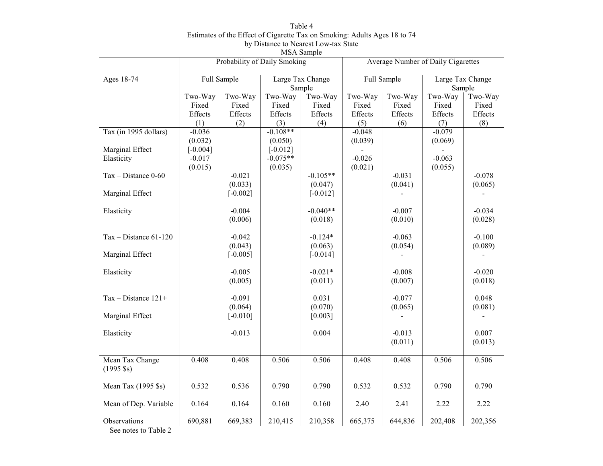#### Table 4 Estimates of the Effect of Cigarette Tax on Smoking: Adults Ages 18 to 74 by Distance to Nearest Low-tax State MSA Sample

|                             |            | Probability of Daily Smoking |            |                  | Average Number of Daily Cigarettes |             |          |                  |
|-----------------------------|------------|------------------------------|------------|------------------|------------------------------------|-------------|----------|------------------|
| Ages 18-74                  |            | Full Sample                  |            | Large Tax Change |                                    | Full Sample |          | Large Tax Change |
|                             |            |                              |            | Sample           |                                    |             | Sample   |                  |
|                             | Two-Way    | Two-Way                      | Two-Way    | Two-Way          | Two-Way                            | Two-Way     | Two-Way  | Two-Way          |
|                             | Fixed      | Fixed                        | Fixed      | Fixed            | Fixed                              | Fixed       | Fixed    | Fixed            |
|                             | Effects    | Effects                      | Effects    | Effects          | Effects                            | Effects     | Effects  | Effects          |
|                             | (1)        | (2)                          | (3)        | (4)              | (5)                                | (6)         | (7)      | (8)              |
| Tax (in 1995 dollars)       | $-0.036$   |                              | $-0.108**$ |                  | $-0.048$                           |             | $-0.079$ |                  |
|                             | (0.032)    |                              | (0.050)    |                  | (0.039)                            |             | (0.069)  |                  |
| Marginal Effect             | $[-0.004]$ |                              | $[-0.012]$ |                  |                                    |             |          |                  |
| Elasticity                  | $-0.017$   |                              | $-0.075**$ |                  | $-0.026$                           |             | $-0.063$ |                  |
|                             | (0.015)    |                              | (0.035)    |                  | (0.021)                            |             | (0.055)  |                  |
| $Tax - Distance\ 0-60$      |            | $-0.021$                     |            | $-0.105**$       |                                    | $-0.031$    |          | $-0.078$         |
|                             |            | (0.033)                      |            | (0.047)          |                                    | (0.041)     |          | (0.065)          |
| Marginal Effect             |            | $[-0.002]$                   |            | $[-0.012]$       |                                    |             |          |                  |
|                             |            |                              |            |                  |                                    |             |          |                  |
| Elasticity                  |            | $-0.004$                     |            | $-0.040**$       |                                    | $-0.007$    |          | $-0.034$         |
|                             |            | (0.006)                      |            | (0.018)          |                                    | (0.010)     |          | (0.028)          |
|                             |            |                              |            |                  |                                    |             |          |                  |
| $Tax - Distance 61-120$     |            | $-0.042$                     |            | $-0.124*$        |                                    | $-0.063$    |          | $-0.100$         |
|                             |            | (0.043)                      |            | (0.063)          |                                    | (0.054)     |          | (0.089)          |
| Marginal Effect             |            | $[-0.005]$                   |            | $[-0.014]$       |                                    |             |          |                  |
|                             |            |                              |            |                  |                                    |             |          |                  |
| Elasticity                  |            | $-0.005$                     |            | $-0.021*$        |                                    | $-0.008$    |          | $-0.020$         |
|                             |            | (0.005)                      |            | (0.011)          |                                    | (0.007)     |          | (0.018)          |
|                             |            |                              |            |                  |                                    |             |          |                  |
| $Tax - Distance 121+$       |            | $-0.091$                     |            | 0.031            |                                    | $-0.077$    |          | 0.048            |
|                             |            | (0.064)                      |            | (0.070)          |                                    | (0.065)     |          | (0.081)          |
| Marginal Effect             |            | $[-0.010]$                   |            | [0.003]          |                                    |             |          |                  |
|                             |            |                              |            |                  |                                    |             |          |                  |
| Elasticity                  |            | $-0.013$                     |            | 0.004            |                                    | $-0.013$    |          | 0.007            |
|                             |            |                              |            |                  |                                    | (0.011)     |          | (0.013)          |
|                             |            |                              |            |                  |                                    |             |          |                  |
| Mean Tax Change             | 0.408      | 0.408                        | 0.506      | 0.506            | 0.408                              | 0.408       | 0.506    | 0.506            |
| $(1995$ \$s)                |            |                              |            |                  |                                    |             |          |                  |
|                             |            |                              |            |                  |                                    |             |          |                  |
| Mean Tax (1995 \$s)         | 0.532      | 0.536                        | 0.790      | 0.790            | 0.532                              | 0.532       | 0.790    | 0.790            |
|                             |            |                              |            |                  |                                    |             |          |                  |
| Mean of Dep. Variable       | 0.164      | 0.164                        | 0.160      | 0.160            | 2.40                               | 2.41        | 2.22     | 2.22             |
|                             |            |                              |            |                  |                                    |             |          |                  |
| Observations<br>$m + 1 - n$ | 690,881    | 669,383                      | 210,415    | 210,358          | 665,375                            | 644,836     | 202,408  | 202,356          |

See notes to Table 2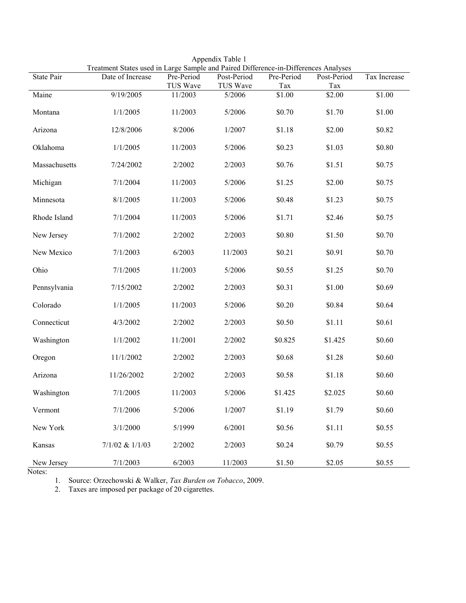|                   | Treatment States used in Large Sample and Paired Difference-in-Differences Analyses |            |             |            |             |              |  |  |  |  |
|-------------------|-------------------------------------------------------------------------------------|------------|-------------|------------|-------------|--------------|--|--|--|--|
| <b>State Pair</b> | Date of Increase                                                                    | Pre-Period | Post-Period | Pre-Period | Post-Period | Tax Increase |  |  |  |  |
|                   |                                                                                     | TUS Wave   | TUS Wave    | Tax        | Tax         |              |  |  |  |  |
| Maine             | 9/19/2005                                                                           | 11/2003    | 5/2006      | \$1.00     | \$2.00      | \$1.00       |  |  |  |  |
| Montana           | 1/1/2005                                                                            | 11/2003    | 5/2006      | \$0.70     | \$1.70      | \$1.00       |  |  |  |  |
| Arizona           | 12/8/2006                                                                           | 8/2006     | 1/2007      | \$1.18     | \$2.00      | \$0.82       |  |  |  |  |
| Oklahoma          | 1/1/2005                                                                            | 11/2003    | 5/2006      | \$0.23     | \$1.03      | \$0.80       |  |  |  |  |
| Massachusetts     | 7/24/2002                                                                           | 2/2002     | 2/2003      | \$0.76     | \$1.51      | \$0.75       |  |  |  |  |
| Michigan          | 7/1/2004                                                                            | 11/2003    | 5/2006      | \$1.25     | \$2.00      | \$0.75       |  |  |  |  |
| Minnesota         | 8/1/2005                                                                            | 11/2003    | 5/2006      | \$0.48     | \$1.23      | \$0.75       |  |  |  |  |
| Rhode Island      | 7/1/2004                                                                            | 11/2003    | 5/2006      | \$1.71     | \$2.46      | \$0.75       |  |  |  |  |
| New Jersey        | 7/1/2002                                                                            | 2/2002     | 2/2003      | \$0.80     | \$1.50      | \$0.70       |  |  |  |  |
| New Mexico        | 7/1/2003                                                                            | 6/2003     | 11/2003     | \$0.21     | \$0.91      | \$0.70       |  |  |  |  |
| Ohio              | 7/1/2005                                                                            | 11/2003    | 5/2006      | \$0.55     | \$1.25      | \$0.70       |  |  |  |  |
| Pennsylvania      | 7/15/2002                                                                           | 2/2002     | 2/2003      | \$0.31     | \$1.00      | \$0.69       |  |  |  |  |
| Colorado          | 1/1/2005                                                                            | 11/2003    | 5/2006      | \$0.20     | \$0.84      | \$0.64       |  |  |  |  |
| Connecticut       | 4/3/2002                                                                            | 2/2002     | 2/2003      | \$0.50     | \$1.11      | \$0.61       |  |  |  |  |
| Washington        | 1/1/2002                                                                            | 11/2001    | 2/2002      | \$0.825    | \$1.425     | \$0.60       |  |  |  |  |
| Oregon            | 11/1/2002                                                                           | 2/2002     | 2/2003      | \$0.68     | \$1.28      | \$0.60       |  |  |  |  |
| Arizona           | 11/26/2002                                                                          | 2/2002     | 2/2003      | \$0.58     | \$1.18      | \$0.60       |  |  |  |  |
| Washington        | 7/1/2005                                                                            | 11/2003    | 5/2006      | \$1.425    | \$2.025     | \$0.60       |  |  |  |  |
| Vermont           | 7/1/2006                                                                            | 5/2006     | 1/2007      | \$1.19     | \$1.79      | \$0.60       |  |  |  |  |
| New York          | 3/1/2000                                                                            | 5/1999     | 6/2001      | \$0.56     | \$1.11      | \$0.55       |  |  |  |  |
| Kansas            | 7/1/02 & 1/1/03                                                                     | 2/2002     | 2/2003      | \$0.24     | \$0.79      | \$0.55       |  |  |  |  |
| New Jersey        | 7/1/2003                                                                            | 6/2003     | 11/2003     | \$1.50     | \$2.05      | \$0.55       |  |  |  |  |

Appendix Table 1

Notes:

1. Source: Orzechowski & Walker, *Tax Burden on Tobacco*, 2009.

2. Taxes are imposed per package of 20 cigarettes.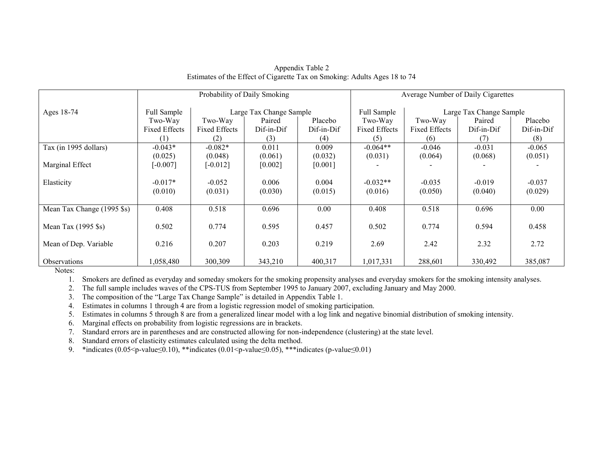|                            | Probability of Daily Smoking |                      |                         |            | Average Number of Daily Cigarettes     |                      |            |            |  |
|----------------------------|------------------------------|----------------------|-------------------------|------------|----------------------------------------|----------------------|------------|------------|--|
| Ages 18-74                 | Full Sample                  |                      | Large Tax Change Sample |            | Full Sample<br>Large Tax Change Sample |                      |            |            |  |
|                            | Two-Way                      | Two-Way              | Paired                  | Placebo    | Two-Way                                | Two-Way              | Paired     | Placebo    |  |
|                            | <b>Fixed Effects</b>         | <b>Fixed Effects</b> | Dif-in-Dif              | Dif-in-Dif | <b>Fixed Effects</b>                   | <b>Fixed Effects</b> | Dif-in-Dif | Dif-in-Dif |  |
|                            | (1)                          | (2)                  | (3)                     | (4)        | (5)                                    | (6)                  | (7)        | (8)        |  |
| Tax (in 1995 dollars)      | $-0.043*$                    | $-0.082*$            | 0.011                   | 0.009      | $-0.064**$                             | $-0.046$             | $-0.031$   | $-0.065$   |  |
|                            | (0.025)                      | (0.048)              | (0.061)                 | (0.032)    | (0.031)                                | (0.064)              | (0.068)    | (0.051)    |  |
| Marginal Effect            | $[-0.007]$                   | $[-0.012]$           | [0.002]                 | [0.001]    |                                        |                      |            |            |  |
|                            |                              |                      |                         |            |                                        |                      |            |            |  |
| Elasticity                 | $-0.017*$                    | $-0.052$             | 0.006                   | 0.004      | $-0.032**$                             | $-0.035$             | $-0.019$   | $-0.037$   |  |
|                            | (0.010)                      | (0.031)              | (0.030)                 | (0.015)    | (0.016)                                | (0.050)              | (0.040)    | (0.029)    |  |
|                            |                              |                      |                         |            |                                        |                      |            |            |  |
| Mean Tax Change (1995 \$s) | 0.408                        | 0.518                | 0.696                   | 0.00       | 0.408                                  | 0.518                | 0.696      | 0.00       |  |
|                            |                              |                      |                         |            |                                        |                      |            |            |  |
| Mean Tax (1995 \$s)        | 0.502                        | 0.774                | 0.595                   | 0.457      | 0.502                                  | 0.774                | 0.594      | 0.458      |  |
|                            |                              |                      |                         |            |                                        |                      |            |            |  |
| Mean of Dep. Variable      | 0.216                        | 0.207                | 0.203                   | 0.219      | 2.69                                   | 2.42                 | 2.32       | 2.72       |  |
|                            |                              |                      |                         |            |                                        |                      |            |            |  |
| Observations               | 1,058,480                    | 300,309              | 343,210                 | 400,317    | 1,017,331                              | 288,601              | 330,492    | 385,087    |  |

Appendix Table 2 Estimates of the Effect of Cigarette Tax on Smoking: Adults Ages 18 to 74

Notes:

1. Smokers are defined as everyday and someday smokers for the smoking propensity analyses and everyday smokers for the smoking intensity analyses.

2. The full sample includes waves of the CPS-TUS from September 1995 to January 2007, excluding January and May 2000.

3. The composition of the "Large Tax Change Sample" is detailed in Appendix Table 1.

4. Estimates in columns 1 through 4 are from a logistic regression model of smoking participation.

5. Estimates in columns 5 through 8 are from a generalized linear model with a log link and negative binomial distribution of smoking intensity.

6. Marginal effects on probability from logistic regressions are in brackets.

7. Standard errors are in parentheses and are constructed allowing for non-independence (clustering) at the state level.

8. Standard errors of elasticity estimates calculated using the delta method.

9. \*indicates  $(0.05 < p$ -value≤0.10), \*\*indicates  $(0.01 < p$ -value≤0.05), \*\*\*indicates (p-value≤0.01)